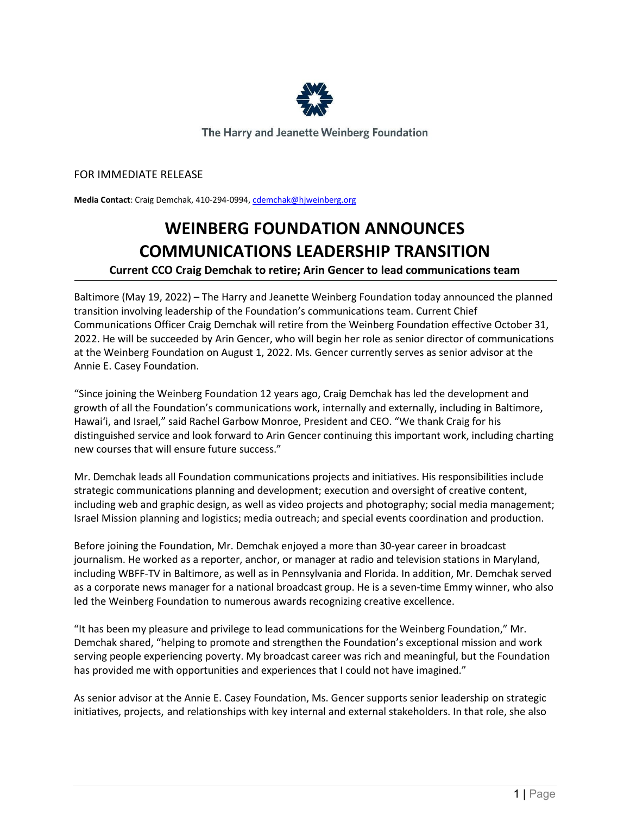

The Harry and Jeanette Weinberg Foundation

## FOR IMMEDIATE RELEASE

**Media Contact**: Craig Demchak, 410-294-0994[, cdemchak@hjweinberg.org](mailto:cdemchak@hjweinberg.org)

## **WEINBERG FOUNDATION ANNOUNCES COMMUNICATIONS LEADERSHIP TRANSITION**

## **Current CCO Craig Demchak to retire; Arin Gencer to lead communications team**

Baltimore (May 19, 2022) – The Harry and Jeanette Weinberg Foundation today announced the planned transition involving leadership of the Foundation's communications team. Current Chief Communications Officer Craig Demchak will retire from the Weinberg Foundation effective October 31, 2022. He will be succeeded by Arin Gencer, who will begin her role as senior director of communications at the Weinberg Foundation on August 1, 2022. Ms. Gencer currently serves as senior advisor at the Annie E. Casey Foundation.

"Since joining the Weinberg Foundation 12 years ago, Craig Demchak has led the development and growth of all the Foundation's communications work, internally and externally, including in Baltimore, Hawaiʻi, and Israel," said Rachel Garbow Monroe, President and CEO. "We thank Craig for his distinguished service and look forward to Arin Gencer continuing this important work, including charting new courses that will ensure future success."

Mr. Demchak leads all Foundation communications projects and initiatives. His responsibilities include strategic communications planning and development; execution and oversight of creative content, including web and graphic design, as well as video projects and photography; social media management; Israel Mission planning and logistics; media outreach; and special events coordination and production.

Before joining the Foundation, Mr. Demchak enjoyed a more than 30-year career in broadcast journalism. He worked as a reporter, anchor, or manager at radio and television stations in Maryland, including WBFF-TV in Baltimore, as well as in Pennsylvania and Florida. In addition, Mr. Demchak served as a corporate news manager for a national broadcast group. He is a seven-time Emmy winner, who also led the Weinberg Foundation to numerous awards recognizing creative excellence.

"It has been my pleasure and privilege to lead communications for the Weinberg Foundation," Mr. Demchak shared, "helping to promote and strengthen the Foundation's exceptional mission and work serving people experiencing poverty. My broadcast career was rich and meaningful, but the Foundation has provided me with opportunities and experiences that I could not have imagined."

As senior advisor at the Annie E. Casey Foundation, Ms. Gencer supports senior leadership on strategic initiatives, projects, and relationships with key internal and external stakeholders. In that role, she also